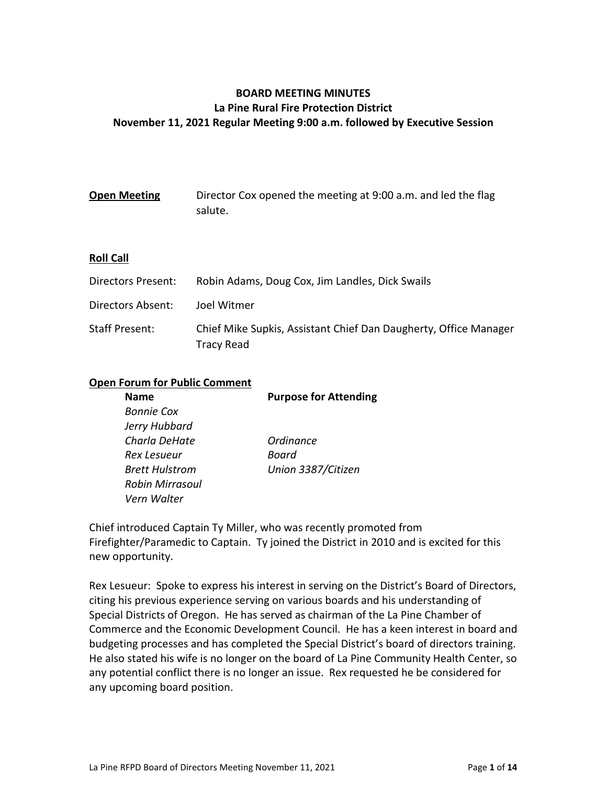# **BOARD MEETING MINUTES La Pine Rural Fire Protection District November 11, 2021 Regular Meeting 9:00 a.m. followed by Executive Session**

| <b>Open Meeting</b> | Director Cox opened the meeting at 9:00 a.m. and led the flag |
|---------------------|---------------------------------------------------------------|
|                     | salute.                                                       |

# **Roll Call**

| Directors Present: | Robin Adams, Doug Cox, Jim Landles, Dick Swails                                |
|--------------------|--------------------------------------------------------------------------------|
| Directors Absent:  | Joel Witmer                                                                    |
| Staff Present:     | Chief Mike Supkis, Assistant Chief Dan Daugherty, Office Manager<br>Tracy Read |

#### **Open Forum for Public Comment**

| <b>Name</b>            | <b>Purpose for Attending</b> |
|------------------------|------------------------------|
| <b>Bonnie Cox</b>      |                              |
| Jerry Hubbard          |                              |
| Charla DeHate          | <b>Ordinance</b>             |
| Rex Lesueur            | Board                        |
| <b>Brett Hulstrom</b>  | Union 3387/Citizen           |
| <b>Robin Mirrasoul</b> |                              |
| Vern Walter            |                              |

Chief introduced Captain Ty Miller, who was recently promoted from Firefighter/Paramedic to Captain. Ty joined the District in 2010 and is excited for this new opportunity.

Rex Lesueur: Spoke to express his interest in serving on the District's Board of Directors, citing his previous experience serving on various boards and his understanding of Special Districts of Oregon. He has served as chairman of the La Pine Chamber of Commerce and the Economic Development Council. He has a keen interest in board and budgeting processes and has completed the Special District's board of directors training. He also stated his wife is no longer on the board of La Pine Community Health Center, so any potential conflict there is no longer an issue. Rex requested he be considered for any upcoming board position.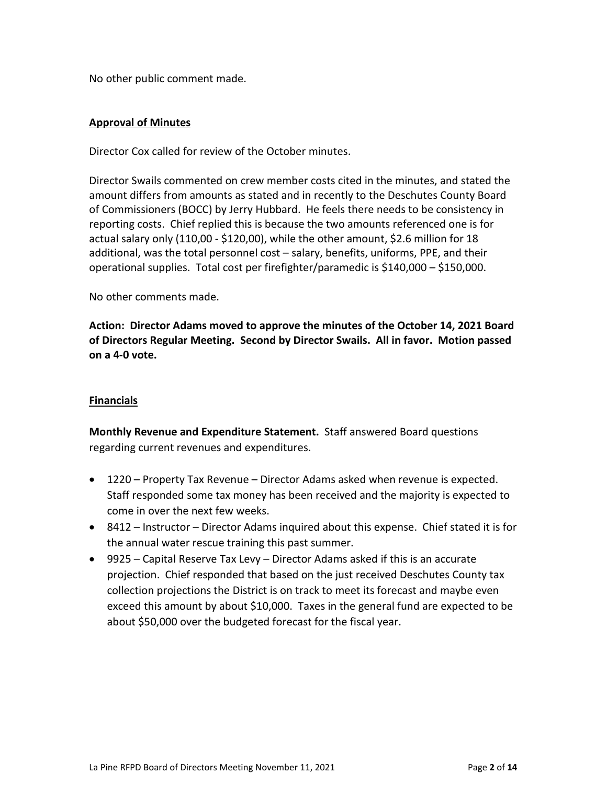No other public comment made.

# **Approval of Minutes**

Director Cox called for review of the October minutes.

Director Swails commented on crew member costs cited in the minutes, and stated the amount differs from amounts as stated and in recently to the Deschutes County Board of Commissioners (BOCC) by Jerry Hubbard. He feels there needs to be consistency in reporting costs. Chief replied this is because the two amounts referenced one is for actual salary only (110,00 - \$120,00), while the other amount, \$2.6 million for 18 additional, was the total personnel cost – salary, benefits, uniforms, PPE, and their operational supplies. Total cost per firefighter/paramedic is \$140,000 – \$150,000.

No other comments made.

**Action: Director Adams moved to approve the minutes of the October 14, 2021 Board of Directors Regular Meeting. Second by Director Swails. All in favor. Motion passed on a 4-0 vote.**

# **Financials**

**Monthly Revenue and Expenditure Statement.** Staff answered Board questions regarding current revenues and expenditures.

- 1220 Property Tax Revenue Director Adams asked when revenue is expected. Staff responded some tax money has been received and the majority is expected to come in over the next few weeks.
- 8412 Instructor Director Adams inquired about this expense. Chief stated it is for the annual water rescue training this past summer.
- 9925 Capital Reserve Tax Levy Director Adams asked if this is an accurate projection. Chief responded that based on the just received Deschutes County tax collection projections the District is on track to meet its forecast and maybe even exceed this amount by about \$10,000. Taxes in the general fund are expected to be about \$50,000 over the budgeted forecast for the fiscal year.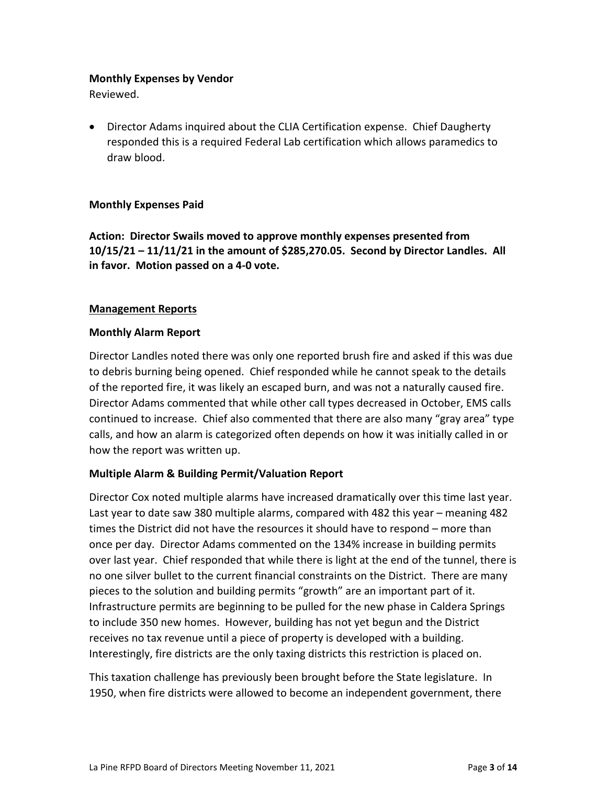## **Monthly Expenses by Vendor**

Reviewed.

• Director Adams inquired about the CLIA Certification expense. Chief Daugherty responded this is a required Federal Lab certification which allows paramedics to draw blood.

# **Monthly Expenses Paid**

**Action: Director Swails moved to approve monthly expenses presented from 10/15/21 – 11/11/21 in the amount of \$285,270.05. Second by Director Landles. All in favor. Motion passed on a 4-0 vote.**

# **Management Reports**

## **Monthly Alarm Report**

Director Landles noted there was only one reported brush fire and asked if this was due to debris burning being opened. Chief responded while he cannot speak to the details of the reported fire, it was likely an escaped burn, and was not a naturally caused fire. Director Adams commented that while other call types decreased in October, EMS calls continued to increase. Chief also commented that there are also many "gray area" type calls, and how an alarm is categorized often depends on how it was initially called in or how the report was written up.

# **Multiple Alarm & Building Permit/Valuation Report**

Director Cox noted multiple alarms have increased dramatically over this time last year. Last year to date saw 380 multiple alarms, compared with 482 this year – meaning 482 times the District did not have the resources it should have to respond – more than once per day. Director Adams commented on the 134% increase in building permits over last year. Chief responded that while there is light at the end of the tunnel, there is no one silver bullet to the current financial constraints on the District. There are many pieces to the solution and building permits "growth" are an important part of it. Infrastructure permits are beginning to be pulled for the new phase in Caldera Springs to include 350 new homes. However, building has not yet begun and the District receives no tax revenue until a piece of property is developed with a building. Interestingly, fire districts are the only taxing districts this restriction is placed on.

This taxation challenge has previously been brought before the State legislature. In 1950, when fire districts were allowed to become an independent government, there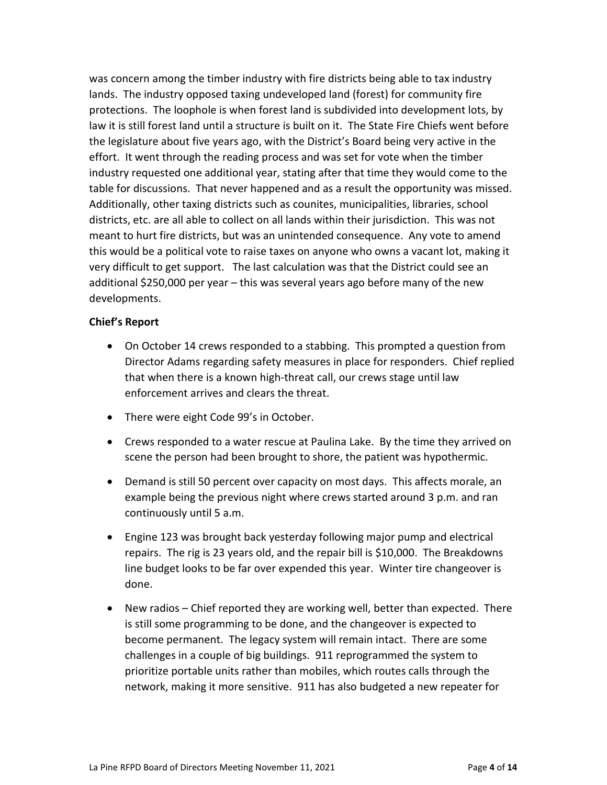was concern among the timber industry with fire districts being able to tax industry lands. The industry opposed taxing undeveloped land (forest) for community fire protections. The loophole is when forest land is subdivided into development lots, by law it is still forest land until a structure is built on it. The State Fire Chiefs went before the legislature about five years ago, with the District's Board being very active in the effort. It went through the reading process and was set for vote when the timber industry requested one additional year, stating after that time they would come to the table for discussions. That never happened and as a result the opportunity was missed. Additionally, other taxing districts such as counites, municipalities, libraries, school districts, etc. are all able to collect on all lands within their jurisdiction. This was not meant to hurt fire districts, but was an unintended consequence. Any vote to amend this would be a political vote to raise taxes on anyone who owns a vacant lot, making it very difficult to get support. The last calculation was that the District could see an additional \$250,000 per year – this was several years ago before many of the new developments.

# **Chief's Report**

- On October 14 crews responded to a stabbing. This prompted a question from Director Adams regarding safety measures in place for responders. Chief replied that when there is a known high-threat call, our crews stage until law enforcement arrives and clears the threat.
- There were eight Code 99's in October.
- Crews responded to a water rescue at Paulina Lake. By the time they arrived on scene the person had been brought to shore, the patient was hypothermic.
- Demand is still 50 percent over capacity on most days. This affects morale, an example being the previous night where crews started around 3 p.m. and ran continuously until 5 a.m.
- Engine 123 was brought back yesterday following major pump and electrical repairs. The rig is 23 years old, and the repair bill is \$10,000. The Breakdowns line budget looks to be far over expended this year. Winter tire changeover is done.
- New radios Chief reported they are working well, better than expected. There is still some programming to be done, and the changeover is expected to become permanent. The legacy system will remain intact. There are some challenges in a couple of big buildings. 911 reprogrammed the system to prioritize portable units rather than mobiles, which routes calls through the network, making it more sensitive. 911 has also budgeted a new repeater for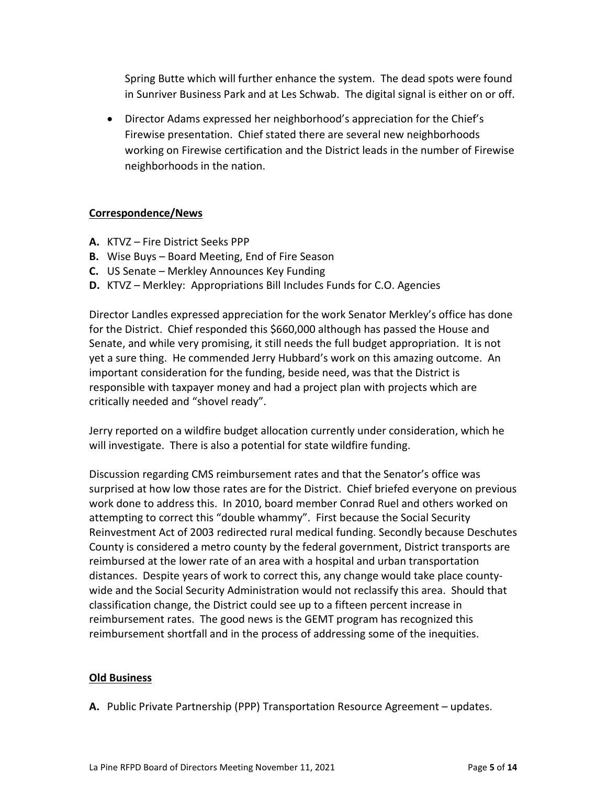Spring Butte which will further enhance the system. The dead spots were found in Sunriver Business Park and at Les Schwab. The digital signal is either on or off.

• Director Adams expressed her neighborhood's appreciation for the Chief's Firewise presentation. Chief stated there are several new neighborhoods working on Firewise certification and the District leads in the number of Firewise neighborhoods in the nation.

# **Correspondence/News**

- **A.** KTVZ Fire District Seeks PPP
- **B.** Wise Buys Board Meeting, End of Fire Season
- **C.** US Senate Merkley Announces Key Funding
- **D.** KTVZ Merkley: Appropriations Bill Includes Funds for C.O. Agencies

Director Landles expressed appreciation for the work Senator Merkley's office has done for the District. Chief responded this \$660,000 although has passed the House and Senate, and while very promising, it still needs the full budget appropriation. It is not yet a sure thing. He commended Jerry Hubbard's work on this amazing outcome. An important consideration for the funding, beside need, was that the District is responsible with taxpayer money and had a project plan with projects which are critically needed and "shovel ready".

Jerry reported on a wildfire budget allocation currently under consideration, which he will investigate. There is also a potential for state wildfire funding.

Discussion regarding CMS reimbursement rates and that the Senator's office was surprised at how low those rates are for the District. Chief briefed everyone on previous work done to address this. In 2010, board member Conrad Ruel and others worked on attempting to correct this "double whammy". First because the Social Security Reinvestment Act of 2003 redirected rural medical funding. Secondly because Deschutes County is considered a metro county by the federal government, District transports are reimbursed at the lower rate of an area with a hospital and urban transportation distances. Despite years of work to correct this, any change would take place countywide and the Social Security Administration would not reclassify this area. Should that classification change, the District could see up to a fifteen percent increase in reimbursement rates. The good news is the GEMT program has recognized this reimbursement shortfall and in the process of addressing some of the inequities.

# **Old Business**

**A.** Public Private Partnership (PPP) Transportation Resource Agreement – updates.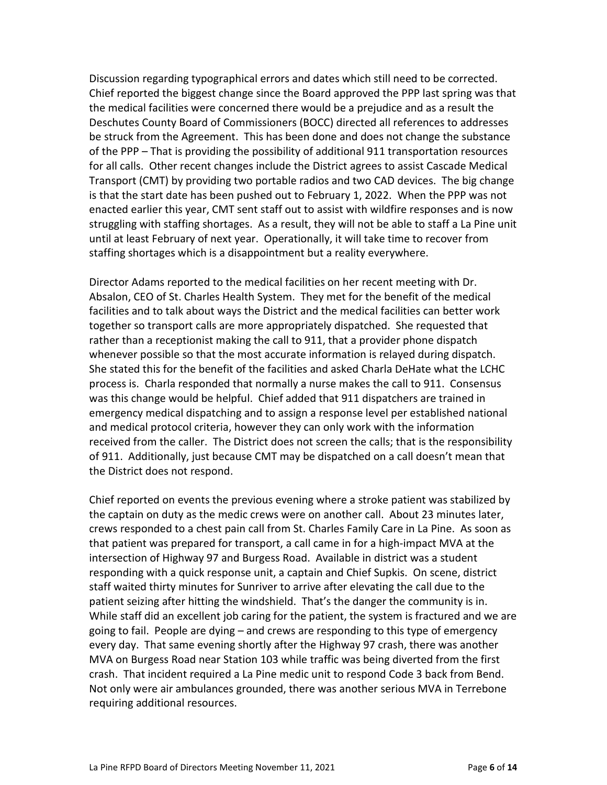Discussion regarding typographical errors and dates which still need to be corrected. Chief reported the biggest change since the Board approved the PPP last spring was that the medical facilities were concerned there would be a prejudice and as a result the Deschutes County Board of Commissioners (BOCC) directed all references to addresses be struck from the Agreement. This has been done and does not change the substance of the PPP – That is providing the possibility of additional 911 transportation resources for all calls. Other recent changes include the District agrees to assist Cascade Medical Transport (CMT) by providing two portable radios and two CAD devices. The big change is that the start date has been pushed out to February 1, 2022. When the PPP was not enacted earlier this year, CMT sent staff out to assist with wildfire responses and is now struggling with staffing shortages. As a result, they will not be able to staff a La Pine unit until at least February of next year. Operationally, it will take time to recover from staffing shortages which is a disappointment but a reality everywhere.

Director Adams reported to the medical facilities on her recent meeting with Dr. Absalon, CEO of St. Charles Health System. They met for the benefit of the medical facilities and to talk about ways the District and the medical facilities can better work together so transport calls are more appropriately dispatched. She requested that rather than a receptionist making the call to 911, that a provider phone dispatch whenever possible so that the most accurate information is relayed during dispatch. She stated this for the benefit of the facilities and asked Charla DeHate what the LCHC process is. Charla responded that normally a nurse makes the call to 911. Consensus was this change would be helpful. Chief added that 911 dispatchers are trained in emergency medical dispatching and to assign a response level per established national and medical protocol criteria, however they can only work with the information received from the caller. The District does not screen the calls; that is the responsibility of 911. Additionally, just because CMT may be dispatched on a call doesn't mean that the District does not respond.

Chief reported on events the previous evening where a stroke patient was stabilized by the captain on duty as the medic crews were on another call. About 23 minutes later, crews responded to a chest pain call from St. Charles Family Care in La Pine. As soon as that patient was prepared for transport, a call came in for a high-impact MVA at the intersection of Highway 97 and Burgess Road. Available in district was a student responding with a quick response unit, a captain and Chief Supkis. On scene, district staff waited thirty minutes for Sunriver to arrive after elevating the call due to the patient seizing after hitting the windshield. That's the danger the community is in. While staff did an excellent job caring for the patient, the system is fractured and we are going to fail. People are dying – and crews are responding to this type of emergency every day. That same evening shortly after the Highway 97 crash, there was another MVA on Burgess Road near Station 103 while traffic was being diverted from the first crash. That incident required a La Pine medic unit to respond Code 3 back from Bend. Not only were air ambulances grounded, there was another serious MVA in Terrebone requiring additional resources.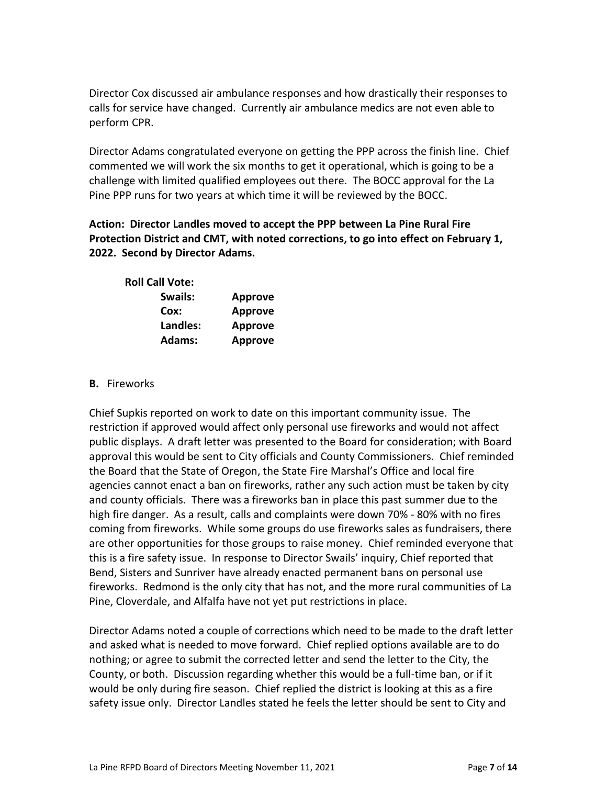Director Cox discussed air ambulance responses and how drastically their responses to calls for service have changed. Currently air ambulance medics are not even able to perform CPR.

Director Adams congratulated everyone on getting the PPP across the finish line. Chief commented we will work the six months to get it operational, which is going to be a challenge with limited qualified employees out there. The BOCC approval for the La Pine PPP runs for two years at which time it will be reviewed by the BOCC.

# **Action: Director Landles moved to accept the PPP between La Pine Rural Fire Protection District and CMT, with noted corrections, to go into effect on February 1, 2022. Second by Director Adams.**

| <b>Roll Call Vote:</b> |                |
|------------------------|----------------|
| Swails:                | <b>Approve</b> |
| Cox:                   | <b>Approve</b> |
| Landles:               | <b>Approve</b> |
| <b>Adams:</b>          | <b>Approve</b> |

# **B.** Fireworks

Chief Supkis reported on work to date on this important community issue. The restriction if approved would affect only personal use fireworks and would not affect public displays. A draft letter was presented to the Board for consideration; with Board approval this would be sent to City officials and County Commissioners. Chief reminded the Board that the State of Oregon, the State Fire Marshal's Office and local fire agencies cannot enact a ban on fireworks, rather any such action must be taken by city and county officials. There was a fireworks ban in place this past summer due to the high fire danger. As a result, calls and complaints were down 70% - 80% with no fires coming from fireworks. While some groups do use fireworks sales as fundraisers, there are other opportunities for those groups to raise money. Chief reminded everyone that this is a fire safety issue. In response to Director Swails' inquiry, Chief reported that Bend, Sisters and Sunriver have already enacted permanent bans on personal use fireworks. Redmond is the only city that has not, and the more rural communities of La Pine, Cloverdale, and Alfalfa have not yet put restrictions in place.

Director Adams noted a couple of corrections which need to be made to the draft letter and asked what is needed to move forward. Chief replied options available are to do nothing; or agree to submit the corrected letter and send the letter to the City, the County, or both. Discussion regarding whether this would be a full-time ban, or if it would be only during fire season. Chief replied the district is looking at this as a fire safety issue only. Director Landles stated he feels the letter should be sent to City and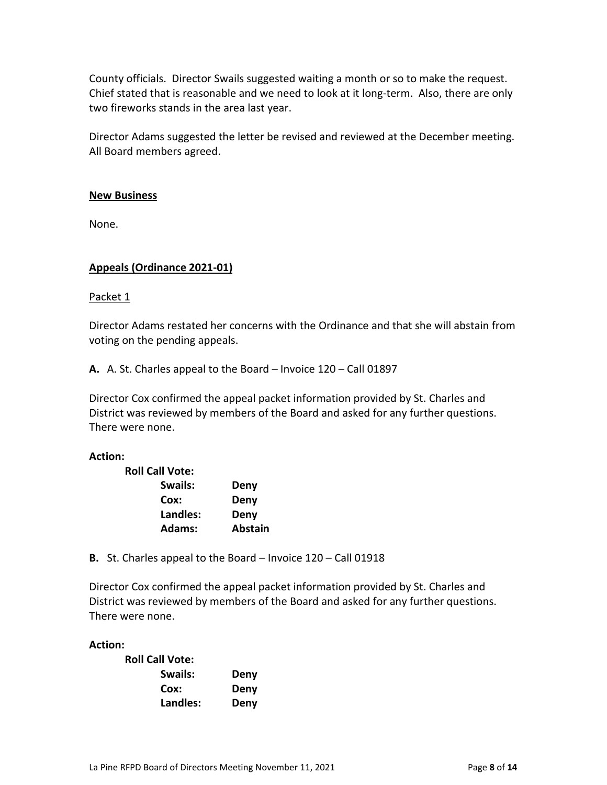County officials. Director Swails suggested waiting a month or so to make the request. Chief stated that is reasonable and we need to look at it long-term. Also, there are only two fireworks stands in the area last year.

Director Adams suggested the letter be revised and reviewed at the December meeting. All Board members agreed.

## **New Business**

None.

# **Appeals (Ordinance 2021-01)**

Packet 1

Director Adams restated her concerns with the Ordinance and that she will abstain from voting on the pending appeals.

**A.** A. St. Charles appeal to the Board – Invoice 120 – Call 01897

Director Cox confirmed the appeal packet information provided by St. Charles and District was reviewed by members of the Board and asked for any further questions. There were none.

#### **Action:**

| <b>Roll Call Vote:</b> |                |
|------------------------|----------------|
| Swails:                | Deny           |
| Cox:                   | Deny           |
| Landles:               | Deny           |
| Adams:                 | <b>Abstain</b> |

**B.** St. Charles appeal to the Board – Invoice 120 – Call 01918

Director Cox confirmed the appeal packet information provided by St. Charles and District was reviewed by members of the Board and asked for any further questions. There were none.

## **Action:**

| <b>Roll Call Vote:</b> |      |
|------------------------|------|
| Swails:                | Deny |
| Cox:                   | Deny |
| Landles:               | Deny |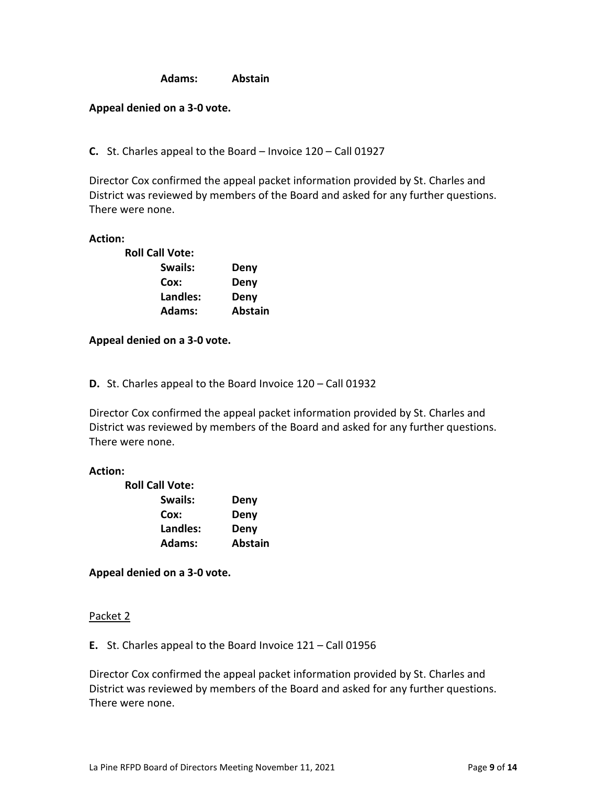**Adams: Abstain**

## **Appeal denied on a 3-0 vote.**

**C.** St. Charles appeal to the Board – Invoice 120 – Call 01927

Director Cox confirmed the appeal packet information provided by St. Charles and District was reviewed by members of the Board and asked for any further questions. There were none.

#### **Action:**

| <b>Roll Call Vote:</b> |                |
|------------------------|----------------|
| Swails:                | Deny           |
| Cox:                   | Deny           |
| Landles:               | Deny           |
| Adams:                 | <b>Abstain</b> |

## **Appeal denied on a 3-0 vote.**

**D.** St. Charles appeal to the Board Invoice 120 – Call 01932

Director Cox confirmed the appeal packet information provided by St. Charles and District was reviewed by members of the Board and asked for any further questions. There were none.

#### **Action:**

| <b>Roll Call Vote:</b> |                |
|------------------------|----------------|
| Swails:                | Deny           |
| Cox:                   | Deny           |
| Landles:               | Deny           |
| Adams:                 | <b>Abstain</b> |

**Appeal denied on a 3-0 vote.**

#### Packet 2

**E.** St. Charles appeal to the Board Invoice 121 – Call 01956

Director Cox confirmed the appeal packet information provided by St. Charles and District was reviewed by members of the Board and asked for any further questions. There were none.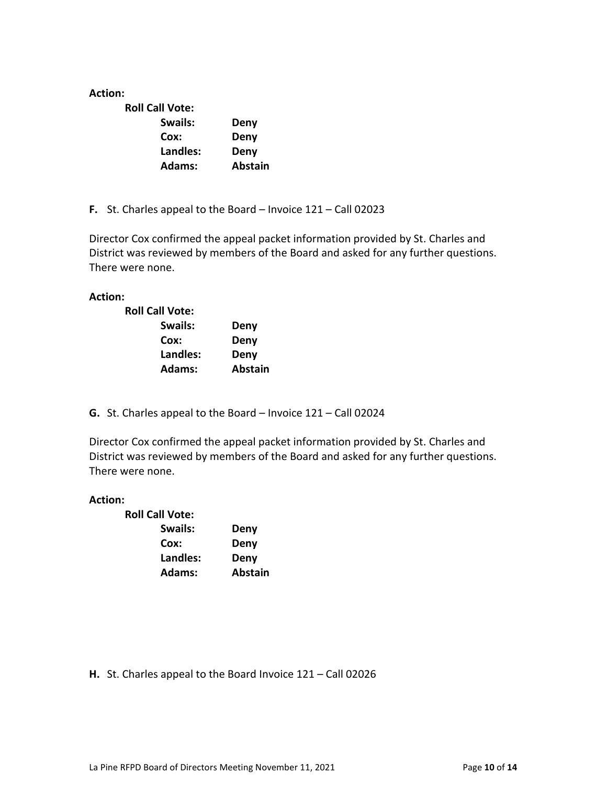## **Action:**

| <b>Roll Call Vote:</b> |                |
|------------------------|----------------|
| Swails:                | Deny           |
| Cox:                   | Deny           |
| Landles:               | Deny           |
| Adams:                 | <b>Abstain</b> |

**F.** St. Charles appeal to the Board – Invoice 121 – Call 02023

Director Cox confirmed the appeal packet information provided by St. Charles and District was reviewed by members of the Board and asked for any further questions. There were none.

## **Action:**

| <b>Roll Call Vote:</b> |                |
|------------------------|----------------|
| Swails:                | Deny           |
| Cox:                   | Deny           |
| Landles:               | Deny           |
| Adams:                 | <b>Abstain</b> |

**G.** St. Charles appeal to the Board – Invoice 121 – Call 02024

Director Cox confirmed the appeal packet information provided by St. Charles and District was reviewed by members of the Board and asked for any further questions. There were none.

#### **Action:**

| Deny           |
|----------------|
| Deny           |
| Deny           |
| <b>Abstain</b> |
|                |

**H.** St. Charles appeal to the Board Invoice 121 – Call 02026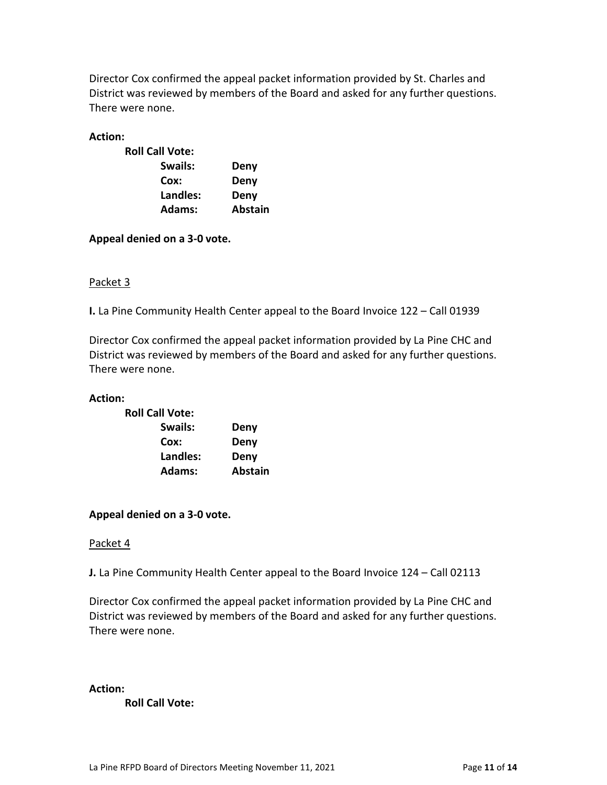Director Cox confirmed the appeal packet information provided by St. Charles and District was reviewed by members of the Board and asked for any further questions. There were none.

## **Action:**

| <b>Roll Call Vote:</b> |                |
|------------------------|----------------|
| Swails:                | Deny           |
| Cox:                   | Deny           |
| Landles:               | Deny           |
| Adams:                 | <b>Abstain</b> |

**Appeal denied on a 3-0 vote.**

## Packet 3

**I.** La Pine Community Health Center appeal to the Board Invoice 122 – Call 01939

Director Cox confirmed the appeal packet information provided by La Pine CHC and District was reviewed by members of the Board and asked for any further questions. There were none.

#### **Action:**

| <b>Roll Call Vote:</b> |                |  |
|------------------------|----------------|--|
| Swails:                | Deny           |  |
| Cox:                   | Deny           |  |
| Landles:               | Deny           |  |
| Adams:                 | <b>Abstain</b> |  |

# **Appeal denied on a 3-0 vote.**

#### Packet 4

**J.** La Pine Community Health Center appeal to the Board Invoice 124 – Call 02113

Director Cox confirmed the appeal packet information provided by La Pine CHC and District was reviewed by members of the Board and asked for any further questions. There were none.

#### **Action:**

**Roll Call Vote:**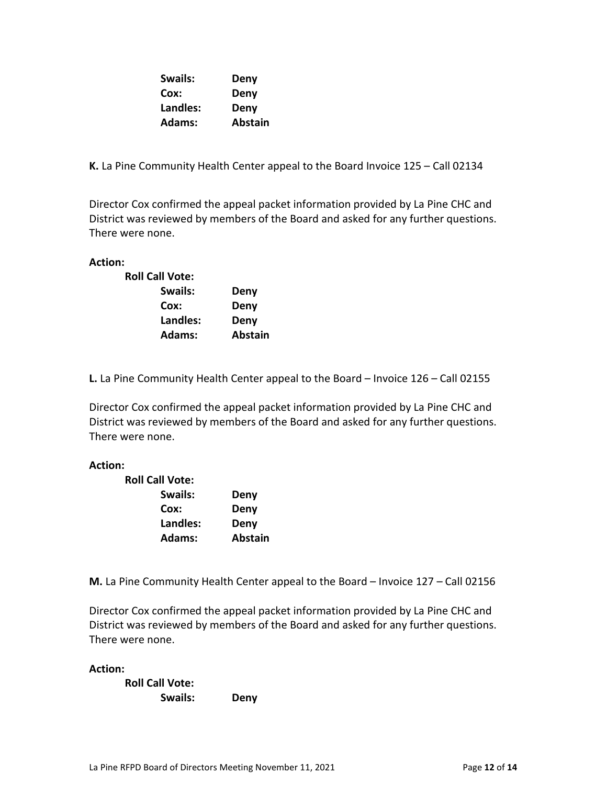| Swails:       | Deny           |
|---------------|----------------|
| Cox:          | Deny           |
| Landles:      | Deny           |
| <b>Adams:</b> | <b>Abstain</b> |

**K.** La Pine Community Health Center appeal to the Board Invoice 125 – Call 02134

Director Cox confirmed the appeal packet information provided by La Pine CHC and District was reviewed by members of the Board and asked for any further questions. There were none.

**Action:** 

| <b>Roll Call Vote:</b> |                |
|------------------------|----------------|
| Swails:                | Deny           |
| Cox:                   | Deny           |
| Landles:               | Deny           |
| Adams:                 | <b>Abstain</b> |

**L.** La Pine Community Health Center appeal to the Board – Invoice 126 – Call 02155

Director Cox confirmed the appeal packet information provided by La Pine CHC and District was reviewed by members of the Board and asked for any further questions. There were none.

# **Action:**

| <b>Roll Call Vote:</b> |                |  |
|------------------------|----------------|--|
| Swails:                | Deny           |  |
| Cox:                   | Deny           |  |
| Landles:               | Deny           |  |
| <b>Adams:</b>          | <b>Abstain</b> |  |

**M.** La Pine Community Health Center appeal to the Board – Invoice 127 – Call 02156

Director Cox confirmed the appeal packet information provided by La Pine CHC and District was reviewed by members of the Board and asked for any further questions. There were none.

**Action:** 

**Roll Call Vote: Swails: Deny**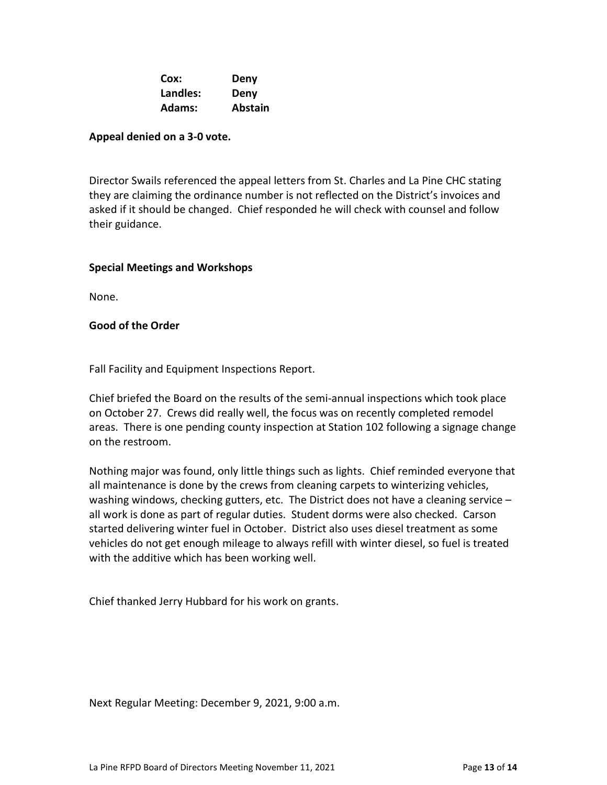| Cox:          | Deny           |
|---------------|----------------|
| Landles:      | Deny           |
| <b>Adams:</b> | <b>Abstain</b> |

## **Appeal denied on a 3-0 vote.**

Director Swails referenced the appeal letters from St. Charles and La Pine CHC stating they are claiming the ordinance number is not reflected on the District's invoices and asked if it should be changed. Chief responded he will check with counsel and follow their guidance.

## **Special Meetings and Workshops**

None.

## **Good of the Order**

Fall Facility and Equipment Inspections Report.

Chief briefed the Board on the results of the semi-annual inspections which took place on October 27. Crews did really well, the focus was on recently completed remodel areas. There is one pending county inspection at Station 102 following a signage change on the restroom.

Nothing major was found, only little things such as lights. Chief reminded everyone that all maintenance is done by the crews from cleaning carpets to winterizing vehicles, washing windows, checking gutters, etc. The District does not have a cleaning service – all work is done as part of regular duties. Student dorms were also checked. Carson started delivering winter fuel in October. District also uses diesel treatment as some vehicles do not get enough mileage to always refill with winter diesel, so fuel is treated with the additive which has been working well.

Chief thanked Jerry Hubbard for his work on grants.

Next Regular Meeting: December 9, 2021, 9:00 a.m.